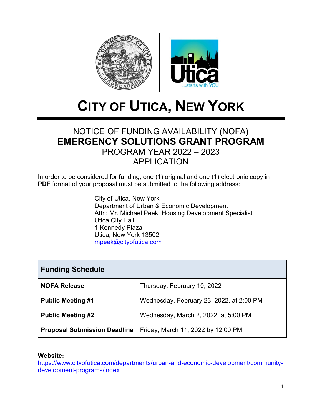

# **CITY OF UTICA, NEW YORK**

# NOTICE OF FUNDING AVAILABILITY (NOFA) **EMERGENCY SOLUTIONS GRANT PROGRAM** PROGRAM YEAR 2022 – 2023 APPLICATION

In order to be considered for funding, one (1) original and one (1) electronic copy in **PDF** format of your proposal must be submitted to the following address:

> City of Utica, New York Department of Urban & Economic Development Attn: Mr. Michael Peek, Housing Development Specialist Utica City Hall 1 Kennedy Plaza Utica, New York 13502 [mpeek@cityofutica.com](mailto:mpeek@cityofutica.com)

| <b>Funding Schedule</b>             |                                          |  |  |  |
|-------------------------------------|------------------------------------------|--|--|--|
| <b>NOFA Release</b>                 | Thursday, February 10, 2022              |  |  |  |
| <b>Public Meeting #1</b>            | Wednesday, February 23, 2022, at 2:00 PM |  |  |  |
| <b>Public Meeting #2</b>            | Wednesday, March 2, 2022, at 5:00 PM     |  |  |  |
| <b>Proposal Submission Deadline</b> | Friday, March 11, 2022 by 12:00 PM       |  |  |  |

#### **Website:**

[https://www.cityofutica.com/departments/urban-and-economic-development/community](https://www.cityofutica.com/departments/urban-and-economic-development/community-development-programs/index)[development-programs/index](https://www.cityofutica.com/departments/urban-and-economic-development/community-development-programs/index)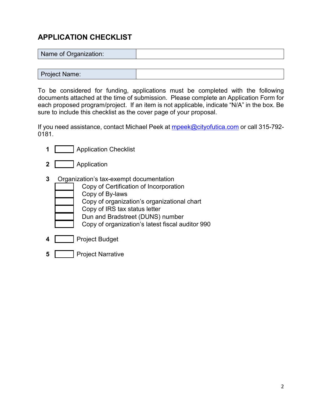# **APPLICATION CHECKLIST**

Name of Organization:

Project Name:

To be considered for funding, applications must be completed with the following documents attached at the time of submission. Please complete an Application Form for each proposed program/project. If an item is not applicable, indicate "N/A" in the box. Be sure to include this checklist as the cover page of your proposal.

If you need assistance, contact Michael Peek at **mpeek@cityofutica.com** or call 315-792-0181.

- **1** Application Checklist **2 Application 3** Organization's tax-exempt documentation Copy of Certification of Incorporation Copy of By-laws Copy of organization's organizational chart Copy of IRS tax status letter Dun and Bradstreet (DUNS) number Copy of organization's latest fiscal auditor 990
- **4** Project Budget
- **5** Project Narrative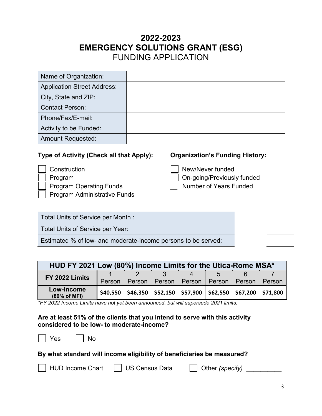# **2022-2023 EMERGENCY SOLUTIONS GRANT (ESG)** FUNDING APPLICATION

| Name of Organization:              |  |
|------------------------------------|--|
| <b>Application Street Address:</b> |  |
| City, State and ZIP:               |  |
| <b>Contact Person:</b>             |  |
| Phone/Fax/E-mail:                  |  |
| Activity to be Funded:             |  |
| <b>Amount Requested:</b>           |  |

# **Type of Activity (Check all that Apply): Organization's Funding History:**

- 
- -
- Program Administrative Funds

- Construction **New/Never funded**
- Program **Definition** On-going/Previously funded
- Program Operating Funds **Number of Years Funded**
- Total Units of Service per Month :

Total Units of Service per Year:

Estimated % of low- and moderate-income persons to be served:

| HUD FY 2021 Low (80%) Income Limits for the Utica-Rome MSA* |          |          |                     |        |                     |        |          |
|-------------------------------------------------------------|----------|----------|---------------------|--------|---------------------|--------|----------|
| FY 2022 Limits                                              |          |          |                     |        |                     |        |          |
|                                                             | Person   | Person   | Person              | Person | Person              | Person | Person   |
| Low-Income<br>(80% of MFI)                                  | \$40,550 | \$46,350 | $$52,150$ $$57,900$ |        | \$62,550   \$67,200 |        | \$71,800 |

*\*FY 2022 Income Limits have not yet been announced, but will supersede 2021 limits.*

# **Are at least 51% of the clients that you intend to serve with this activity considered to be low- to moderate-income?**

Yes | No

# **By what standard will income eligibility of beneficiaries be measured?**



HUD Income Chart  $\vert \vert$  US Census Data  $\vert \vert$  Other *(specify)*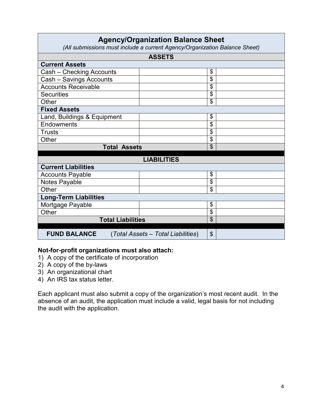# **Agency/Organization Balance Sheet**

*(All submissions must include a current Agency/Organization Balance Sheet)*

| <b>ASSETS</b>                |                                          |  |  |  |  |  |
|------------------------------|------------------------------------------|--|--|--|--|--|
| <b>Current Assets</b>        |                                          |  |  |  |  |  |
| Cash - Checking Accounts     | \$                                       |  |  |  |  |  |
| Cash - Savings Accounts      | \$                                       |  |  |  |  |  |
| <b>Accounts Receivable</b>   | \$                                       |  |  |  |  |  |
| <b>Securities</b>            | \$                                       |  |  |  |  |  |
| Other                        | \$                                       |  |  |  |  |  |
| <b>Fixed Assets</b>          |                                          |  |  |  |  |  |
| Land, Buildings & Equipment  | \$                                       |  |  |  |  |  |
| <b>Endowments</b>            | \$                                       |  |  |  |  |  |
| <b>Trusts</b>                | \$                                       |  |  |  |  |  |
| Other                        | \$                                       |  |  |  |  |  |
| <b>Total Assets</b>          | \$                                       |  |  |  |  |  |
|                              |                                          |  |  |  |  |  |
|                              | <b>LIABILITIES</b>                       |  |  |  |  |  |
| <b>Current Liabilities</b>   |                                          |  |  |  |  |  |
| <b>Accounts Payable</b>      | \$                                       |  |  |  |  |  |
| Notes Payable                | \$                                       |  |  |  |  |  |
| Other                        | \$                                       |  |  |  |  |  |
| <b>Long-Term Liabilities</b> |                                          |  |  |  |  |  |
| Mortgage Payable             | \$                                       |  |  |  |  |  |
| Other                        | \$                                       |  |  |  |  |  |
| <b>Total Liabilities</b>     | \$                                       |  |  |  |  |  |
| <b>FUND BALANCE</b>          | \$<br>(Total Assets - Total Liabilities) |  |  |  |  |  |

#### **Not-for-profit organizations must also attach:**

- 1) A copy of the certificate of incorporation
- 2) A copy of the by-laws
- 3) An organizational chart
- 4) An IRS tax status letter.

Each applicant must also submit a copy of the organization's most recent audit. In the absence of an audit, the application must include a valid, legal basis for not including the audit with the application.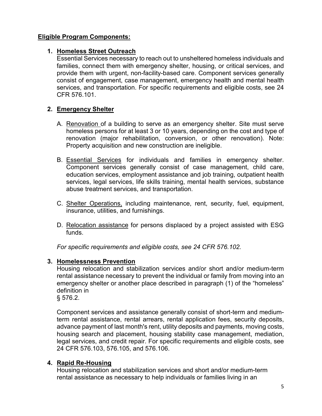# **Eligible Program Components:**

# **1. Homeless Street Outreach**

Essential Services necessary to reach out to unsheltered homeless individuals and families, connect them with emergency shelter, housing, or critical services, and provide them with urgent, non-facility-based care. Component services generally consist of engagement, case management, emergency health and mental health services, and transportation. For specific requirements and eligible costs, see 24 CFR 576.101.

# **2. Emergency Shelter**

- A. Renovation of a building to serve as an emergency shelter. Site must serve homeless persons for at least 3 or 10 years, depending on the cost and type of renovation (major rehabilitation, conversion, or other renovation). Note: Property acquisition and new construction are ineligible.
- B. Essential Services for individuals and families in emergency shelter. Component services generally consist of case management, child care, education services, employment assistance and job training, outpatient health services, legal services, life skills training, mental health services, substance abuse treatment services, and transportation.
- C. Shelter Operations, including maintenance, rent, security, fuel, equipment, insurance, utilities, and furnishings.
- D. Relocation assistance for persons displaced by a project assisted with ESG funds.

*For specific requirements and eligible costs, see 24 CFR 576.102.*

# **3. Homelessness Prevention**

Housing relocation and stabilization services and/or short and/or medium-term rental assistance necessary to prevent the individual or family from moving into an emergency shelter or another place described in paragraph (1) of the "homeless" definition in

§ 576.2.

Component services and assistance generally consist of short-term and mediumterm rental assistance, rental arrears, rental application fees, security deposits, advance payment of last month's rent, utility deposits and payments, moving costs, housing search and placement, housing stability case management, mediation, legal services, and credit repair. For specific requirements and eligible costs, see 24 CFR 576.103, 576.105, and 576.106.

# **4. Rapid Re-Housing**

Housing relocation and stabilization services and short and/or medium-term rental assistance as necessary to help individuals or families living in an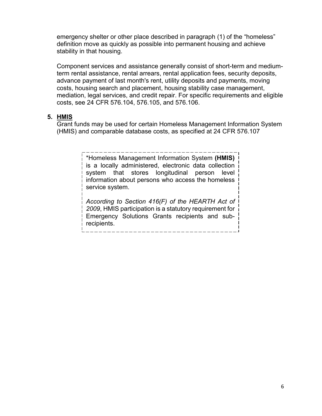emergency shelter or other place described in paragraph (1) of the "homeless" definition move as quickly as possible into permanent housing and achieve stability in that housing.

Component services and assistance generally consist of short-term and mediumterm rental assistance, rental arrears, rental application fees, security deposits, advance payment of last month's rent, utility deposits and payments, moving costs, housing search and placement, housing stability case management, mediation, legal services, and credit repair. For specific requirements and eligible costs, see 24 CFR 576.104, 576.105, and 576.106.

# **5. HMIS**

Grant funds may be used for certain Homeless Management Information System (HMIS) and comparable database costs, as specified at 24 CFR 576.107

> \*Homeless Management Information System **(HMIS)** is a locally administered, electronic data collection system that stores longitudinal person level information about persons who access the homeless service system.

> *According to Section 416(F) of the HEARTH Act of 2009*, HMIS participation is a statutory requirement for Emergency Solutions Grants recipients and subrecipients.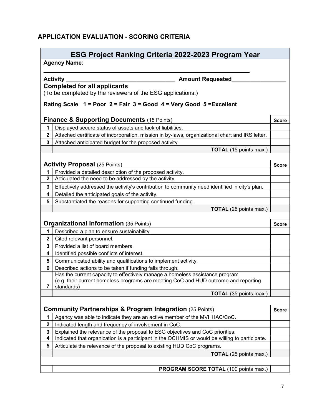# **APPLICATION EVALUATION - SCORING CRITERIA**

| ESG Project Ranking Criteria 2022-2023 Program Year |                                                                                                 |              |  |  |  |  |
|-----------------------------------------------------|-------------------------------------------------------------------------------------------------|--------------|--|--|--|--|
|                                                     | <b>Agency Name:</b>                                                                             |              |  |  |  |  |
| <b>Activity</b><br><b>Amount Requested</b>          |                                                                                                 |              |  |  |  |  |
|                                                     | <b>Completed for all applicants</b>                                                             |              |  |  |  |  |
|                                                     | (To be completed by the reviewers of the ESG applications.)                                     |              |  |  |  |  |
|                                                     | Rating Scale 1 = Poor 2 = Fair 3 = Good 4 = Very Good 5 = Excellent                             |              |  |  |  |  |
|                                                     | <b>Finance &amp; Supporting Documents (15 Points)</b>                                           | <b>Score</b> |  |  |  |  |
| 1                                                   | Displayed secure status of assets and lack of liabilities.                                      |              |  |  |  |  |
| $\mathbf 2$                                         | Attached certificate of incorporation, mission in by-laws, organizational chart and IRS letter. |              |  |  |  |  |
| 3                                                   | Attached anticipated budget for the proposed activity.                                          |              |  |  |  |  |
|                                                     | TOTAL (15 points max.)                                                                          |              |  |  |  |  |
|                                                     |                                                                                                 |              |  |  |  |  |
|                                                     | <b>Activity Proposal (25 Points)</b>                                                            | <b>Score</b> |  |  |  |  |
| 1                                                   | Provided a detailed description of the proposed activity.                                       |              |  |  |  |  |
| $\mathbf 2$                                         | Articulated the need to be addressed by the activity.                                           |              |  |  |  |  |
| 3                                                   | Effectively addressed the activity's contribution to community need identified in city's plan.  |              |  |  |  |  |
| 4                                                   | Detailed the anticipated goals of the activity.                                                 |              |  |  |  |  |
| 5                                                   | Substantiated the reasons for supporting continued funding.                                     |              |  |  |  |  |
|                                                     | <b>TOTAL</b> (25 points max.)                                                                   |              |  |  |  |  |
|                                                     | <b>Organizational Information (35 Points)</b>                                                   | <b>Score</b> |  |  |  |  |
| 1                                                   | Described a plan to ensure sustainability.                                                      |              |  |  |  |  |
| $\mathbf 2$                                         | Cited relevant personnel.                                                                       |              |  |  |  |  |
| 3                                                   | Provided a list of board members.                                                               |              |  |  |  |  |
| 4                                                   | Identified possible conflicts of interest.                                                      |              |  |  |  |  |
| 5                                                   | Communicated ability and qualifications to implement activity.                                  |              |  |  |  |  |
| 6                                                   | Described actions to be taken if funding falls through.                                         |              |  |  |  |  |
|                                                     | Has the current capacity to effectively manage a homeless assistance program                    |              |  |  |  |  |
|                                                     | (e.g. their current homeless programs are meeting CoC and HUD outcome and reporting             |              |  |  |  |  |
| 7                                                   | standards)                                                                                      |              |  |  |  |  |
|                                                     | <b>TOTAL</b> (35 points max.)                                                                   |              |  |  |  |  |
|                                                     | <b>Community Partnerships &amp; Program Integration (25 Points)</b>                             | <b>Score</b> |  |  |  |  |
| 1                                                   | Agency was able to indicate they are an active member of the MVHHAC/CoC.                        |              |  |  |  |  |
| $\mathbf 2$                                         | Indicated length and frequency of involvement in CoC.                                           |              |  |  |  |  |
| 3                                                   | Explained the relevance of the proposal to ESG objectives and CoC priorities.                   |              |  |  |  |  |
| 4                                                   | Indicated that organization is a participant in the OCHMIS or would be willing to participate.  |              |  |  |  |  |
| 5                                                   | Articulate the relevance of the proposal to existing HUD CoC programs.                          |              |  |  |  |  |
|                                                     | <b>TOTAL</b> (25 points max.)                                                                   |              |  |  |  |  |
|                                                     |                                                                                                 |              |  |  |  |  |
|                                                     | PROGRAM SCORE TOTAL (100 points max.)                                                           |              |  |  |  |  |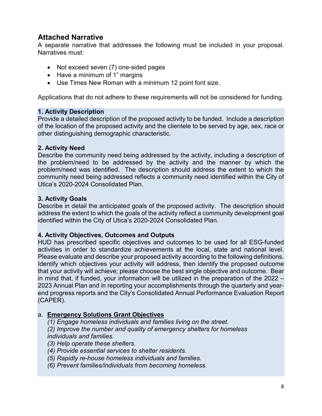# **Attached Narrative**

A separate narrative that addresses the following must be included in your proposal. Narratives must:

- Not exceed seven (7) one-sided pages
- Have a minimum of 1" margins
- Use Times New Roman with a minimum 12 point font size.

Applications that do not adhere to these requirements will not be considered for funding.

# **1. Activity Description**

Provide a detailed description of the proposed activity to be funded. Include a description of the location of the proposed activity and the clientele to be served by age, sex, race or other distinguishing demographic characteristic.

# **2. Activity Need**

Describe the community need being addressed by the activity, including a description of the problem/need to be addressed by the activity and the manner by which the problem/need was identified. The description should address the extent to which the community need being addressed reflects a community need identified within the City of Utica's 2020-2024 Consolidated Plan.

# **3. Activity Goals**

Describe in detail the anticipated goals of the proposed activity. The description should address the extent to which the goals of the activity reflect a community development goal identified within the City of Utica's 2020-2024 Consolidated Plan.

#### **4. Activity Objectives, Outcomes and Outputs**

HUD has prescribed specific objectives and outcomes to be used for all ESG-funded activities in order to standardize achievements at the local, state and national level. Please evaluate and describe your proposed activity according to the following definitions. Identify which objectives your activity will address, then identify the proposed outcome that your activity will achieve; please choose the best single objective and outcome. Bear in mind that, if funded, your information will be utilized in the preparation of the 2022 – 2023 Annual Plan and in reporting your accomplishments through the quarterly and yearend progress reports and the City's Consolidated Annual Performance Evaluation Report (CAPER).

# a. **Emergency Solutions Grant Objectives**

*(1) Engage homeless individuals and families living on the street.*

*(2) Improve the number and quality of emergency shelters for homeless individuals and families.*

- *(3) Help operate these shelters.*
- *(4) Provide essential services to shelter residents.*
- *(5) Rapidly re-house homeless individuals and families.*
- *(6) Prevent families/individuals from becoming homeless.*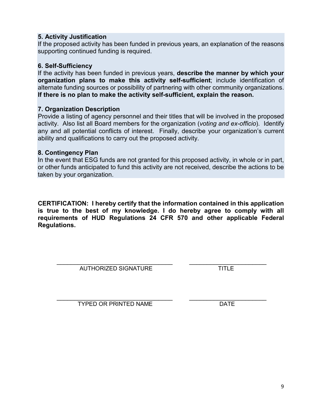#### **5. Activity Justification**

If the proposed activity has been funded in previous years, an explanation of the reasons supporting continued funding is required.

#### **6. Self-Sufficiency**

If the activity has been funded in previous years, **describe the manner by which your organization plans to make this activity self-sufficient**; include identification of alternate funding sources or possibility of partnering with other community organizations. **If there is no plan to make the activity self-sufficient, explain the reason.**

#### **7. Organization Description**

Provide a listing of agency personnel and their titles that will be involved in the proposed activity. Also list all Board members for the organization (*voting and ex-officio*). Identify any and all potential conflicts of interest. Finally, describe your organization's current ability and qualifications to carry out the proposed activity.

#### **8. Contingency Plan**

In the event that ESG funds are not granted for this proposed activity, in whole or in part, or other funds anticipated to fund this activity are not received, describe the actions to be taken by your organization.

**CERTIFICATION: I hereby certify that the information contained in this application is true to the best of my knowledge. I do hereby agree to comply with all requirements of HUD Regulations 24 CFR 570 and other applicable Federal Regulations.**

\_\_\_\_\_\_\_\_\_\_\_\_\_\_\_\_\_\_\_\_\_\_\_\_\_\_\_\_\_\_\_\_\_ \_\_\_\_\_\_\_\_\_\_\_\_\_\_\_\_\_\_\_\_\_\_ AUTHORIZED SIGNATURE TITLE

\_\_\_\_\_\_\_\_\_\_\_\_\_\_\_\_\_\_\_\_\_\_\_\_\_\_\_\_\_\_\_\_\_ \_\_\_\_\_\_\_\_\_\_\_\_\_\_\_\_\_\_\_\_\_\_ TYPED OR PRINTED NAME DATE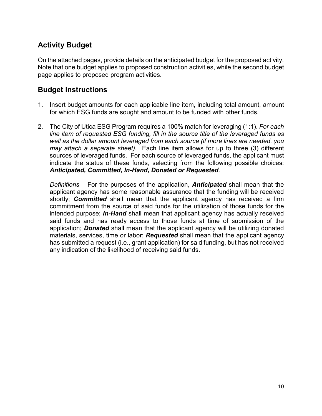# **Activity Budget**

On the attached pages, provide details on the anticipated budget for the proposed activity. Note that one budget applies to proposed construction activities, while the second budget page applies to proposed program activities.

# **Budget Instructions**

- 1. Insert budget amounts for each applicable line item, including total amount, amount for which ESG funds are sought and amount to be funded with other funds.
- 2. The City of Utica ESG Program requires a 100% match for leveraging (1:1). *For each line item of requested ESG funding, fill in the source title of the leveraged funds as well as the dollar amount leveraged from each source (if more lines are needed, you may attach a separate sheet)*. Each line item allows for up to three (3) different sources of leveraged funds. For each source of leveraged funds, the applicant must indicate the status of these funds, selecting from the following possible choices: *Anticipated, Committed, In-Hand, Donated or Requested*.

*Definitions* – For the purposes of the application, *Anticipated* shall mean that the applicant agency has some reasonable assurance that the funding will be received shortly; *Committed* shall mean that the applicant agency has received a firm commitment from the source of said funds for the utilization of those funds for the intended purpose; *In-Hand* shall mean that applicant agency has actually received said funds and has ready access to those funds at time of submission of the application; *Donated* shall mean that the applicant agency will be utilizing donated materials, services, time or labor; *Requested* shall mean that the applicant agency has submitted a request (i.e., grant application) for said funding, but has not received any indication of the likelihood of receiving said funds.